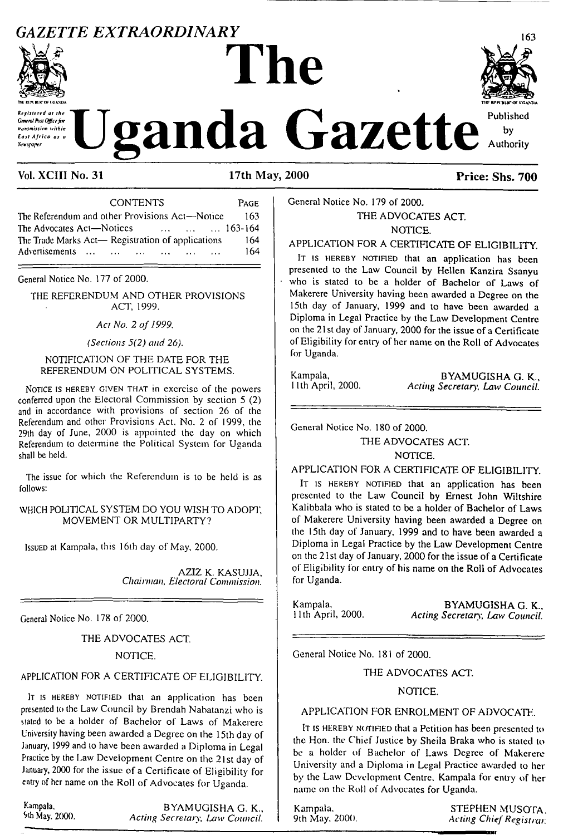# *GAZETTE EXTRAORDINARY* **<sup>163</sup>**



Revisioned at the General Pust Office for transmission within East Africa as a **Newspaper** 

# **The**



**Uganda** Gazette

### Vol. XCIII No. 31 17th May, 2000 **Price: Shs. 700**

| <b>CONTENTS</b>                                                 | PAGE |
|-----------------------------------------------------------------|------|
| The Referendum and other Provisions Act—Notice                  | 163  |
| The Advocates Act-Notices<br>$\ldots$ $\ldots$ $\ldots$ 163-164 |      |
| The Trade Marks Act— Registration of applications               | 164  |
| Advertisements                                                  | 164  |
|                                                                 |      |

General Notice No. 177 of 2000.

THE REFERENDUM AND OTHER PROVISIONS ACT, 1999.

*Act No. 2 of 1999.*

*(Sections 5(2) and 26).*

#### NOTIFICATION OF THE DATE FOR THE REFERENDUM ON POLITICAL SYSTEMS.

Notice is hereby given that in exercise of the powers conferred upon the Electoral Commission by section 5 (2) and in accordance with provisions of section 26 of the Referendum and other Provisions Act. No. 2 of 1999, the 29th day of June, 2000 is appointed the day on which Referendum to determine the Political System for Uganda shall be held.

The issue for which the Referendum is to be held is as follows:

#### WHICH POLITICAL SYSTEM DO YOU WISH TO ADOPT. MOVEMENT OR MULTIPARTY?

<sup>I</sup>ssued at Kampala, this <sup>1</sup>6th day of May, 2000.

AZIZ K. KASUJJA, *Chairman, Electoral Commission.*

General Notice No. 178 of 2000.

#### THE ADVOCATES ACT.

NOTICE.

#### APPLICATION FOR A CERTIFICATE OF ELIGIBILITY.

It is HEREBY NOTIFIED that an application has been presented to the Law Council by Brendah Nabatanzi who is stated to be a holder of Bachelor of Laws of Makerere University having been awarded a Degree on the 15lh day of January, 1999 and to have been awarded a Diploma in Legal Practice by the Law Development Centre on the 21st day of January, 2000 for the issue of a Certificate of Eligibility for entry of her name on the Roll of Advocates for Uganda.

Kampala. BYAMUGISHA G. K.,<br>
9th May. 2000. Acting Secretary Law Council 9th May. 2000. *Acting Secretary, Law Council.* General Notice No. 179 of 2000.

THE ADVOCATES ACT. NOTICE.

APPLICATION FOR A CERTIFICATE OF ELIGIBILITY.

IT IS HEREBY NOTIFIED that an application has been presented to the Law Council by Hellcn Kanzira Ssanyu who is stated to be a holder of Bachelor of Laws of Makerere University having been awarded a Degree on the 15th day of January, 1999 and to have been awarded a Diploma in Legal Practice by the Law Development Centre on the 21st day of January, 2000 for the issue of a Certificate of Eligibility for entry of her name on the Roll of Advocates for Uganda.

Kampala, BYAMUGISHA G. K., Ilth April, 2000. Acting Secretary, Law Council. 11th April, 2000. *Acting Secretary1, Law Council.*

General Notice No. 180 of 2000.

THE ADVOCATES ACT.

NOTICE.

APPLICATION FOR A CERTIFICATE OF ELIGIBILITY.

IT IS HEREBY NOTIFIED that an application has been presented to the Law Council by Ernest John Wiltshire Kalibbala who is slated to be a holder of Bachelor of Laws of Makerere University having been awarded a Degree on the 15th day of January, 1999 and to have been awarded a Diploma in Legal Practice by the Law Development Centre on the 21st day of January, 2000 for the issue of a Certificate of Eligibility for entry of his name on the Roll of Advocates for Uganda.

Kampala, BYAMUGISHA G. K., Ilth April, 2000. Acting Secretary. Law Council. 11th April, 2000. *Acting Secretary, Law Council.*

General Notice No. 181 of 2000.

#### THE ADVOCATES ACT.

#### NOTICE.

#### APPLICATION FOR ENROLMENT OF ADVOCATE.

It is HEREBY NOTIFIED that a Petition has been presented to the Hon. the Chief Justice by Sheila Braka who is stated to be a holder of Bachelor of Laws Degree of Makerere University and a Diploma in Legal Practice awarded to her by the Law Development Centre, Kampala for entry of her name on the Roll of Advocates for Uganda.

Kampala. STEPHEN MUSOTA. 9th May, 2000. *Acting ChiefRegistrar.*